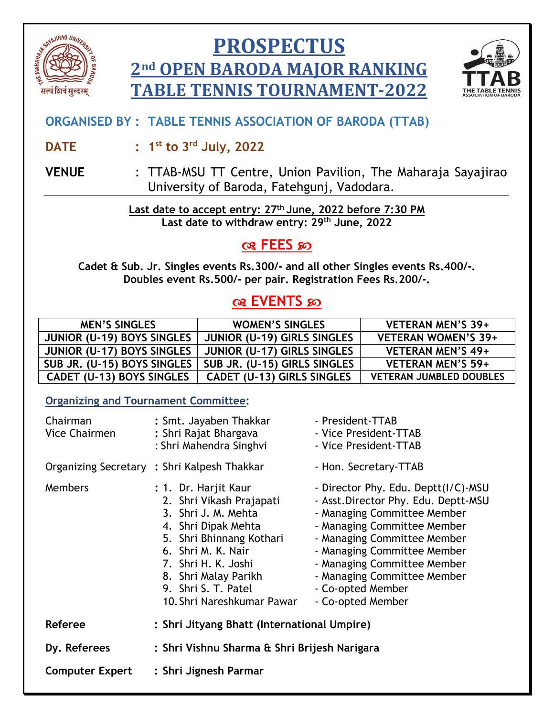

# **PROSPECTUS 2nd OPEN BARODA MAJOR RANKING TABLE TENNIS TOURNAMENT-2022**



## **ORGANISED BY : TABLE TENNIS ASSOCIATION OF BARODA (TTAB)**

- **DATE : 1 st to 3rd July, 2022**
- **VENUE** : TTAB-MSU TT Centre, Union Pavilion, The Maharaja Sayajirao University of Baroda, Fatehgunj, Vadodara.

**Last date to accept entry: 27 th June, 2022 before 7:30 PM Last date to withdraw entry: 29th June, 2022**

# **R** FEES အ

**Cadet & Sub. Jr. Singles events Rs.300/- and all other Singles events Rs.400/-. Doubles event Rs.500/- per pair. Registration Fees Rs.200/-.**

# **EVENTS**

| <b>MEN'S SINGLES</b>        | <b>WOMEN'S SINGLES</b>            | VETERAN MEN'S 39+              |
|-----------------------------|-----------------------------------|--------------------------------|
| JUNIOR (U-19) BOYS SINGLES  | JUNIOR (U-19) GIRLS SINGLES       | <b>VETERAN WOMEN'S 39+</b>     |
| JUNIOR (U-17) BOYS SINGLES  | JUNIOR (U-17) GIRLS SINGLES       | VETERAN MEN'S 49+              |
| SUB JR. (U-15) BOYS SINGLES | SUB JR. (U-15) GIRLS SINGLES      | <b>VETERAN MEN'S 59+</b>       |
| CADET (U-13) BOYS SINGLES   | <b>CADET (U-13) GIRLS SINGLES</b> | <b>VETERAN JUMBLED DOUBLES</b> |

### **Organizing and Tournament Committee:**

| Chairman<br>Vice Chairmen | : Smt. Jayaben Thakkar<br>: Shri Rajat Bhargava<br>: Shri Mahendra Singhvi                                                                                                                                                                           | - President-TTAB<br>- Vice President-TTAB<br>- Vice President-TTAB                                                                                                                                                                                                                                              |  |
|---------------------------|------------------------------------------------------------------------------------------------------------------------------------------------------------------------------------------------------------------------------------------------------|-----------------------------------------------------------------------------------------------------------------------------------------------------------------------------------------------------------------------------------------------------------------------------------------------------------------|--|
|                           | Organizing Secretary: Shri Kalpesh Thakkar                                                                                                                                                                                                           | - Hon. Secretary-TTAB                                                                                                                                                                                                                                                                                           |  |
| <b>Members</b>            | : 1. Dr. Harjit Kaur<br>2. Shri Vikash Prajapati<br>3. Shri J. M. Mehta<br>4. Shri Dipak Mehta<br>5. Shri Bhinnang Kothari<br>6. Shri M. K. Nair<br>7. Shri H. K. Joshi<br>8. Shri Malay Parikh<br>9. Shri S. T. Patel<br>10. Shri Nareshkumar Pawar | - Director Phy. Edu. Deptt(I/C)-MSU<br>- Asst. Director Phy. Edu. Deptt-MSU<br>- Managing Committee Member<br>- Managing Committee Member<br>- Managing Committee Member<br>- Managing Committee Member<br>- Managing Committee Member<br>- Managing Committee Member<br>- Co-opted Member<br>- Co-opted Member |  |
| <b>Referee</b>            | : Shri Jityang Bhatt (International Umpire)                                                                                                                                                                                                          |                                                                                                                                                                                                                                                                                                                 |  |
| Dy. Referees              | : Shri Vishnu Sharma & Shri Brijesh Narigara                                                                                                                                                                                                         |                                                                                                                                                                                                                                                                                                                 |  |
| <b>Computer Expert</b>    | : Shri Jignesh Parmar                                                                                                                                                                                                                                |                                                                                                                                                                                                                                                                                                                 |  |